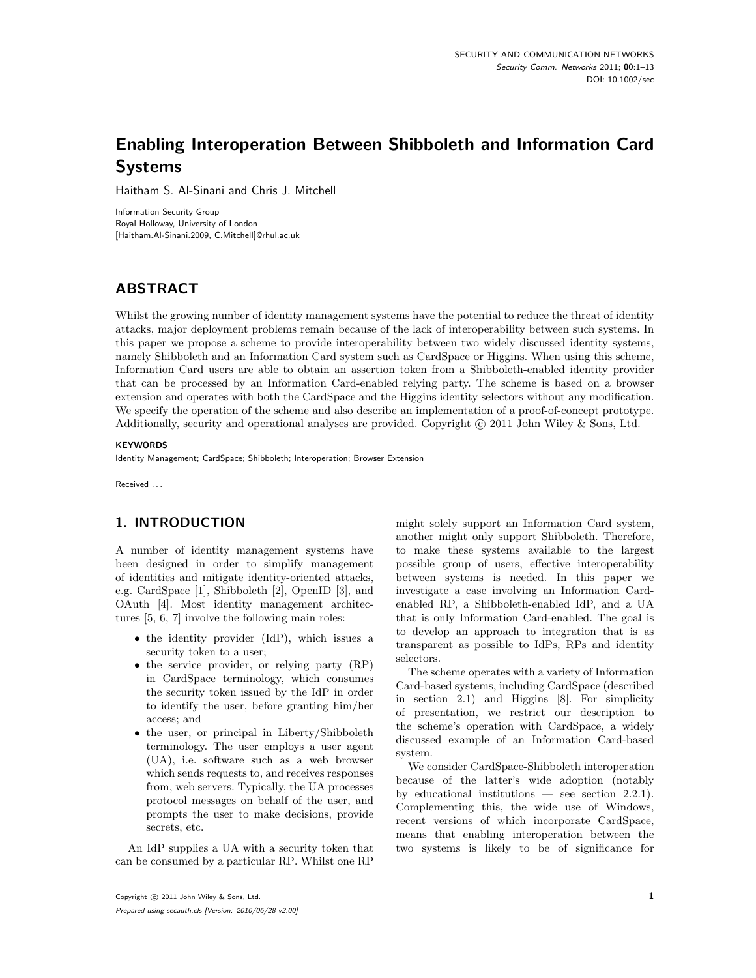# Enabling Interoperation Between Shibboleth and Information Card Systems

Haitham S. Al-Sinani and Chris J. Mitchell

Information Security Group Royal Holloway, University of London [Haitham.Al-Sinani.2009, C.Mitchell]@rhul.ac.uk

# ABSTRACT

Whilst the growing number of identity management systems have the potential to reduce the threat of identity attacks, major deployment problems remain because of the lack of interoperability between such systems. In this paper we propose a scheme to provide interoperability between two widely discussed identity systems, namely Shibboleth and an Information Card system such as CardSpace or Higgins. When using this scheme, Information Card users are able to obtain an assertion token from a Shibboleth-enabled identity provider that can be processed by an Information Card-enabled relying party. The scheme is based on a browser extension and operates with both the CardSpace and the Higgins identity selectors without any modification. We specify the operation of the scheme and also describe an implementation of a proof-of-concept prototype. Additionally, security and operational analyses are provided. Copyright  $\odot$  2011 John Wiley & Sons, Ltd.

#### **KEYWORDS**

Identity Management; CardSpace; Shibboleth; Interoperation; Browser Extension

Received . . .

# 1. INTRODUCTION

A number of identity management systems have been designed in order to simplify management of identities and mitigate identity-oriented attacks, e.g. CardSpace [1], Shibboleth [2], OpenID [3], and OAuth [4]. Most identity management architectures [5, 6, 7] involve the following main roles:

- the identity provider (IdP), which issues a security token to a user;
- the service provider, or relying party (RP) in CardSpace terminology, which consumes the security token issued by the IdP in order to identify the user, before granting him/her access; and
- the user, or principal in Liberty/Shibboleth terminology. The user employs a user agent (UA), i.e. software such as a web browser which sends requests to, and receives responses from, web servers. Typically, the UA processes protocol messages on behalf of the user, and prompts the user to make decisions, provide secrets, etc.

An IdP supplies a UA with a security token that can be consumed by a particular RP. Whilst one RP might solely support an Information Card system, another might only support Shibboleth. Therefore, to make these systems available to the largest possible group of users, effective interoperability between systems is needed. In this paper we investigate a case involving an Information Cardenabled RP, a Shibboleth-enabled IdP, and a UA that is only Information Card-enabled. The goal is to develop an approach to integration that is as transparent as possible to IdPs, RPs and identity selectors.

The scheme operates with a variety of Information Card-based systems, including CardSpace (described in section 2.1) and Higgins [8]. For simplicity of presentation, we restrict our description to the scheme's operation with CardSpace, a widely discussed example of an Information Card-based system.

We consider CardSpace-Shibboleth interoperation because of the latter's wide adoption (notably by educational institutions — see section 2.2.1). Complementing this, the wide use of Windows, recent versions of which incorporate CardSpace, means that enabling interoperation between the two systems is likely to be of significance for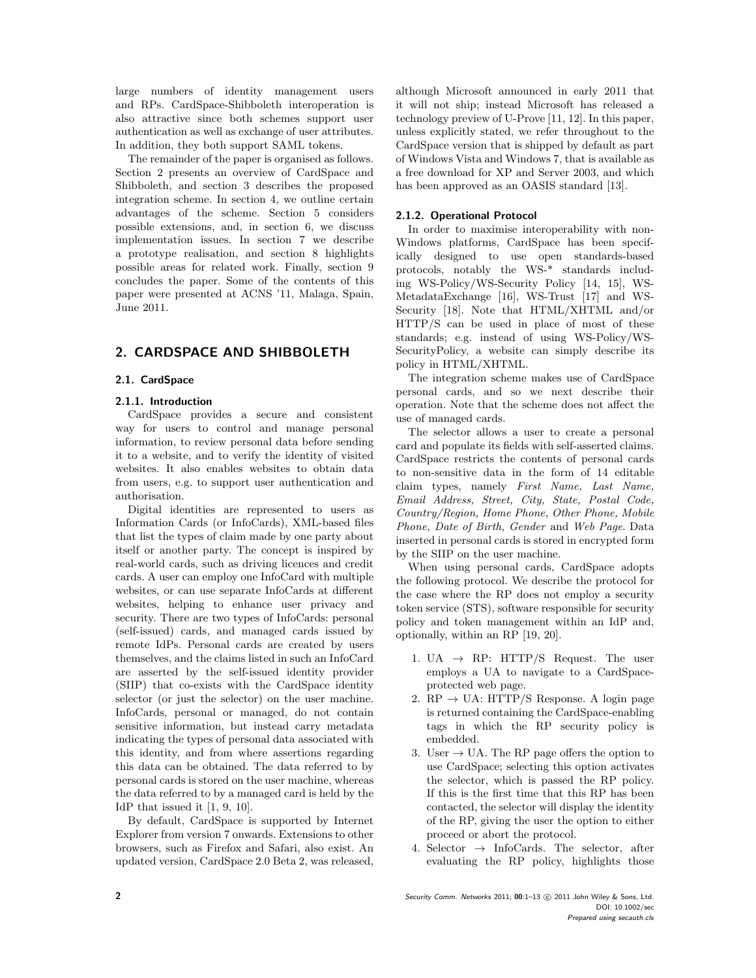large numbers of identity management users and RPs. CardSpace-Shibboleth interoperation is also attractive since both schemes support user authentication as well as exchange of user attributes. In addition, they both support SAML tokens.

The remainder of the paper is organised as follows. Section 2 presents an overview of CardSpace and Shibboleth, and section 3 describes the proposed integration scheme. In section 4, we outline certain advantages of the scheme. Section 5 considers possible extensions, and, in section 6, we discuss implementation issues. In section 7 we describe a prototype realisation, and section 8 highlights possible areas for related work. Finally, section 9 concludes the paper. Some of the contents of this paper were presented at ACNS '11, Malaga, Spain, June 2011.

# 2. CARDSPACE AND SHIBBOLETH

#### 2.1. CardSpace

### 2.1.1. Introduction

CardSpace provides a secure and consistent way for users to control and manage personal information, to review personal data before sending it to a website, and to verify the identity of visited websites. It also enables websites to obtain data from users, e.g. to support user authentication and authorisation.

Digital identities are represented to users as Information Cards (or InfoCards), XML-based files that list the types of claim made by one party about itself or another party. The concept is inspired by real-world cards, such as driving licences and credit cards. A user can employ one InfoCard with multiple websites, or can use separate InfoCards at different websites, helping to enhance user privacy and security. There are two types of InfoCards: personal (self-issued) cards, and managed cards issued by remote IdPs. Personal cards are created by users themselves, and the claims listed in such an InfoCard are asserted by the self-issued identity provider (SIIP) that co-exists with the CardSpace identity selector (or just the selector) on the user machine. InfoCards, personal or managed, do not contain sensitive information, but instead carry metadata indicating the types of personal data associated with this identity, and from where assertions regarding this data can be obtained. The data referred to by personal cards is stored on the user machine, whereas the data referred to by a managed card is held by the IdP that issued it [1, 9, 10].

By default, CardSpace is supported by Internet Explorer from version 7 onwards. Extensions to other browsers, such as Firefox and Safari, also exist. An updated version, CardSpace 2.0 Beta 2, was released, although Microsoft announced in early 2011 that it will not ship; instead Microsoft has released a technology preview of U-Prove [11, 12]. In this paper, unless explicitly stated, we refer throughout to the CardSpace version that is shipped by default as part of Windows Vista and Windows 7, that is available as a free download for XP and Server 2003, and which has been approved as an OASIS standard [13].

#### 2.1.2. Operational Protocol

In order to maximise interoperability with non-Windows platforms, CardSpace has been specifically designed to use open standards-based protocols, notably the WS-\* standards including WS-Policy/WS-Security Policy [14, 15], WS-MetadataExchange [16], WS-Trust [17] and WS-Security [18]. Note that HTML/XHTML and/or HTTP/S can be used in place of most of these standards; e.g. instead of using WS-Policy/WS-SecurityPolicy, a website can simply describe its policy in HTML/XHTML.

The integration scheme makes use of CardSpace personal cards, and so we next describe their operation. Note that the scheme does not affect the use of managed cards.

The selector allows a user to create a personal card and populate its fields with self-asserted claims. CardSpace restricts the contents of personal cards to non-sensitive data in the form of 14 editable claim types, namely First Name, Last Name, Email Address, Street, City, State, Postal Code, Country/Region, Home Phone, Other Phone, Mobile Phone, Date of Birth, Gender and Web Page. Data inserted in personal cards is stored in encrypted form by the SIIP on the user machine.

When using personal cards, CardSpace adopts the following protocol. We describe the protocol for the case where the RP does not employ a security token service (STS), software responsible for security policy and token management within an IdP and, optionally, within an RP [19, 20].

- 1. UA  $\rightarrow$  RP: HTTP/S Request. The user employs a UA to navigate to a CardSpaceprotected web page.
- 2. RP  $\rightarrow$  UA: HTTP/S Response. A login page is returned containing the CardSpace-enabling tags in which the RP security policy is embedded.
- 3. User  $\rightarrow$  UA. The RP page offers the option to use CardSpace; selecting this option activates the selector, which is passed the RP policy. If this is the first time that this RP has been contacted, the selector will display the identity of the RP, giving the user the option to either proceed or abort the protocol.
- 4. Selector  $\rightarrow$  InfoCards. The selector, after evaluating the RP policy, highlights those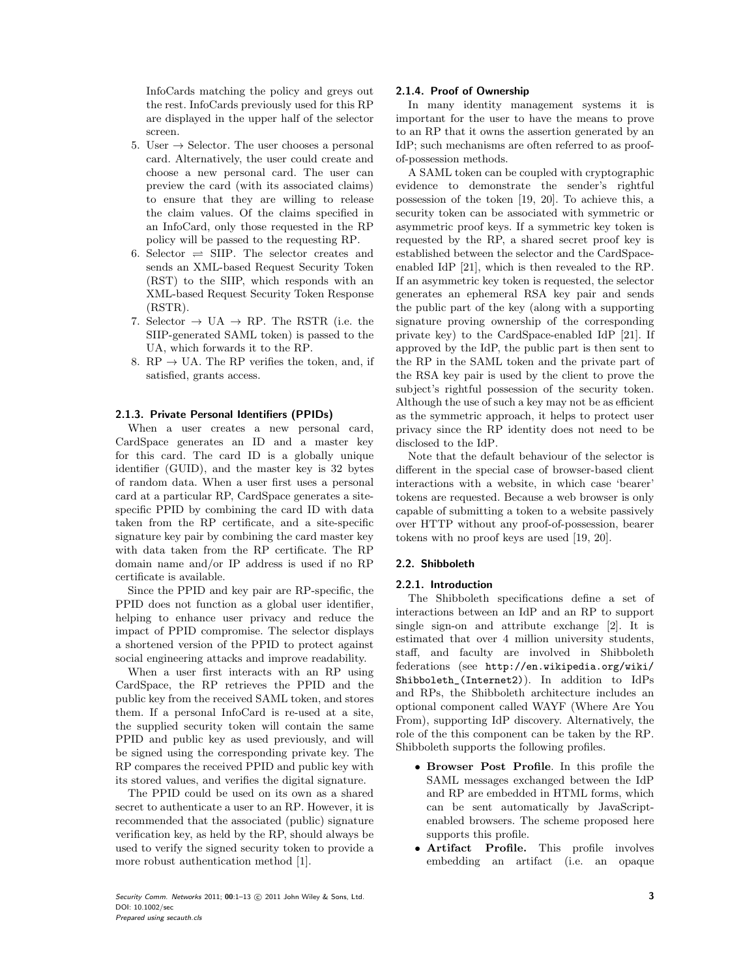InfoCards matching the policy and greys out the rest. InfoCards previously used for this RP are displayed in the upper half of the selector screen.

- 5. User  $\rightarrow$  Selector. The user chooses a personal card. Alternatively, the user could create and choose a new personal card. The user can preview the card (with its associated claims) to ensure that they are willing to release the claim values. Of the claims specified in an InfoCard, only those requested in the RP policy will be passed to the requesting RP.
- 6. Selector  $\rightleftharpoons$  SIIP. The selector creates and sends an XML-based Request Security Token (RST) to the SIIP, which responds with an XML-based Request Security Token Response (RSTR).
- 7. Selector  $\rightarrow$  UA  $\rightarrow$  RP. The RSTR (i.e. the SIIP-generated SAML token) is passed to the UA, which forwards it to the RP.
- 8. RP  $\rightarrow$  UA. The RP verifies the token, and, if satisfied, grants access.

#### 2.1.3. Private Personal Identifiers (PPIDs)

When a user creates a new personal card, CardSpace generates an ID and a master key for this card. The card ID is a globally unique identifier (GUID), and the master key is 32 bytes of random data. When a user first uses a personal card at a particular RP, CardSpace generates a sitespecific PPID by combining the card ID with data taken from the RP certificate, and a site-specific signature key pair by combining the card master key with data taken from the RP certificate. The RP domain name and/or IP address is used if no RP certificate is available.

Since the PPID and key pair are RP-specific, the PPID does not function as a global user identifier, helping to enhance user privacy and reduce the impact of PPID compromise. The selector displays a shortened version of the PPID to protect against social engineering attacks and improve readability.

When a user first interacts with an RP using CardSpace, the RP retrieves the PPID and the public key from the received SAML token, and stores them. If a personal InfoCard is re-used at a site, the supplied security token will contain the same PPID and public key as used previously, and will be signed using the corresponding private key. The RP compares the received PPID and public key with its stored values, and verifies the digital signature.

The PPID could be used on its own as a shared secret to authenticate a user to an RP. However, it is recommended that the associated (public) signature verification key, as held by the RP, should always be used to verify the signed security token to provide a more robust authentication method [1].

### 2.1.4. Proof of Ownership

In many identity management systems it is important for the user to have the means to prove to an RP that it owns the assertion generated by an IdP; such mechanisms are often referred to as proofof-possession methods.

A SAML token can be coupled with cryptographic evidence to demonstrate the sender's rightful possession of the token [19, 20]. To achieve this, a security token can be associated with symmetric or asymmetric proof keys. If a symmetric key token is requested by the RP, a shared secret proof key is established between the selector and the CardSpaceenabled IdP [21], which is then revealed to the RP. If an asymmetric key token is requested, the selector generates an ephemeral RSA key pair and sends the public part of the key (along with a supporting signature proving ownership of the corresponding private key) to the CardSpace-enabled IdP [21]. If approved by the IdP, the public part is then sent to the RP in the SAML token and the private part of the RSA key pair is used by the client to prove the subject's rightful possession of the security token. Although the use of such a key may not be as efficient as the symmetric approach, it helps to protect user privacy since the RP identity does not need to be disclosed to the IdP.

Note that the default behaviour of the selector is different in the special case of browser-based client interactions with a website, in which case 'bearer' tokens are requested. Because a web browser is only capable of submitting a token to a website passively over HTTP without any proof-of-possession, bearer tokens with no proof keys are used [19, 20].

## 2.2. Shibboleth

#### 2.2.1. Introduction

The Shibboleth specifications define a set of interactions between an IdP and an RP to support single sign-on and attribute exchange [2]. It is estimated that over 4 million university students, staff, and faculty are involved in Shibboleth federations (see http://en.wikipedia.org/wiki/ Shibboleth\_(Internet2)). In addition to IdPs and RPs, the Shibboleth architecture includes an optional component called WAYF (Where Are You From), supporting IdP discovery. Alternatively, the role of the this component can be taken by the RP. Shibboleth supports the following profiles.

- Browser Post Profile. In this profile the SAML messages exchanged between the IdP and RP are embedded in HTML forms, which can be sent automatically by JavaScriptenabled browsers. The scheme proposed here supports this profile.
- Artifact Profile. This profile involves embedding an artifact (i.e. an opaque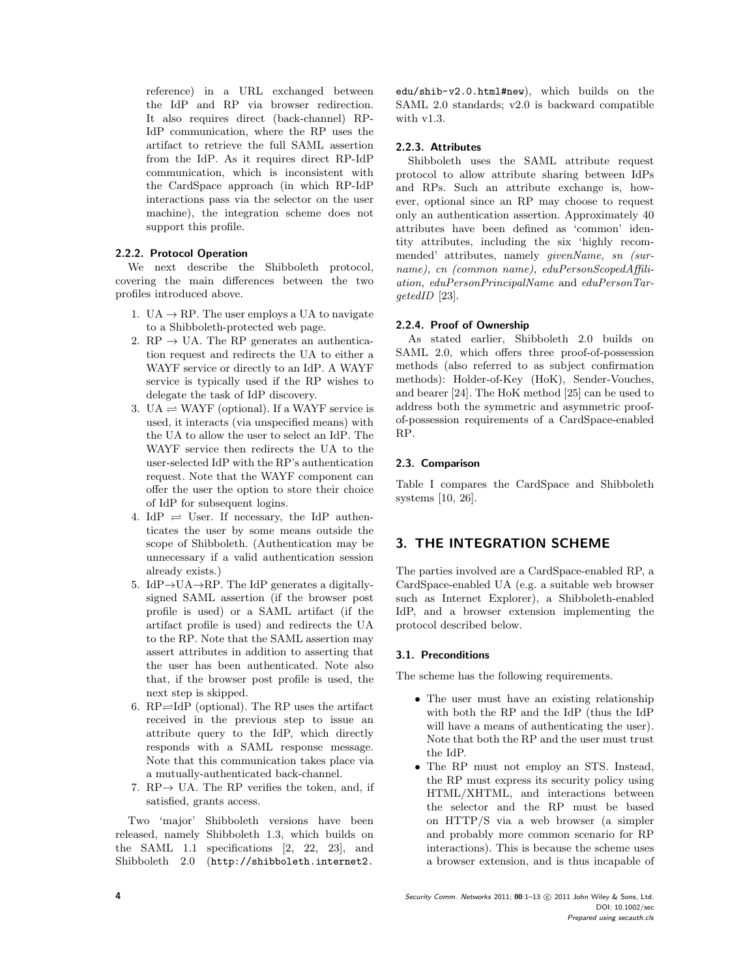reference) in a URL exchanged between the IdP and RP via browser redirection. It also requires direct (back-channel) RP-IdP communication, where the RP uses the artifact to retrieve the full SAML assertion from the IdP. As it requires direct RP-IdP communication, which is inconsistent with the CardSpace approach (in which RP-IdP interactions pass via the selector on the user machine), the integration scheme does not support this profile.

#### 2.2.2. Protocol Operation

We next describe the Shibboleth protocol, covering the main differences between the two profiles introduced above.

- 1. UA  $\rightarrow$  RP. The user employs a UA to navigate to a Shibboleth-protected web page.
- 2. RP  $\rightarrow$  UA. The RP generates an authentication request and redirects the UA to either a WAYF service or directly to an IdP. A WAYF service is typically used if the RP wishes to delegate the task of IdP discovery.
- 3.  $UA \rightleftharpoons WAYF$  (optional). If a WAYF service is used, it interacts (via unspecified means) with the UA to allow the user to select an IdP. The WAYF service then redirects the UA to the user-selected IdP with the RP's authentication request. Note that the WAYF component can offer the user the option to store their choice of IdP for subsequent logins.
- 4. IdP  $\rightleftharpoons$  User. If necessary, the IdP authenticates the user by some means outside the scope of Shibboleth. (Authentication may be unnecessary if a valid authentication session already exists.)
- 5. IdP→UA→RP. The IdP generates a digitallysigned SAML assertion (if the browser post profile is used) or a SAML artifact (if the artifact profile is used) and redirects the UA to the RP. Note that the SAML assertion may assert attributes in addition to asserting that the user has been authenticated. Note also that, if the browser post profile is used, the next step is skipped.
- 6.  $RP \rightleftharpoons \text{IdP}$  (optional). The RP uses the artifact received in the previous step to issue an attribute query to the IdP, which directly responds with a SAML response message. Note that this communication takes place via a mutually-authenticated back-channel.
- 7.  $RP \rightarrow UA$ . The RP verifies the token, and, if satisfied, grants access.

Two 'major' Shibboleth versions have been released, namely Shibboleth 1.3, which builds on the SAML 1.1 specifications [2, 22, 23], and Shibboleth 2.0 (http://shibboleth.internet2.

edu/shib-v2.0.html#new), which builds on the SAML 2.0 standards; v2.0 is backward compatible with v1.3.

#### 2.2.3. Attributes

Shibboleth uses the SAML attribute request protocol to allow attribute sharing between IdPs and RPs. Such an attribute exchange is, however, optional since an RP may choose to request only an authentication assertion. Approximately 40 attributes have been defined as 'common' identity attributes, including the six 'highly recommended' attributes, namely *givenName*, sn (surname), cn (common name), eduPersonScopedAffiliation, eduPersonPrincipalName and eduPersonTargetedID [23].

#### 2.2.4. Proof of Ownership

As stated earlier, Shibboleth 2.0 builds on SAML 2.0, which offers three proof-of-possession methods (also referred to as subject confirmation methods): Holder-of-Key (HoK), Sender-Vouches, and bearer [24]. The HoK method [25] can be used to address both the symmetric and asymmetric proofof-possession requirements of a CardSpace-enabled RP.

#### 2.3. Comparison

Table I compares the CardSpace and Shibboleth systems [10, 26].

# 3. THE INTEGRATION SCHEME

The parties involved are a CardSpace-enabled RP, a CardSpace-enabled UA (e.g. a suitable web browser such as Internet Explorer), a Shibboleth-enabled IdP, and a browser extension implementing the protocol described below.

#### 3.1. Preconditions

The scheme has the following requirements.

- The user must have an existing relationship with both the RP and the IdP (thus the IdP will have a means of authenticating the user). Note that both the RP and the user must trust the IdP.
- The RP must not employ an STS. Instead, the RP must express its security policy using HTML/XHTML, and interactions between the selector and the RP must be based on HTTP/S via a web browser (a simpler and probably more common scenario for RP interactions). This is because the scheme uses a browser extension, and is thus incapable of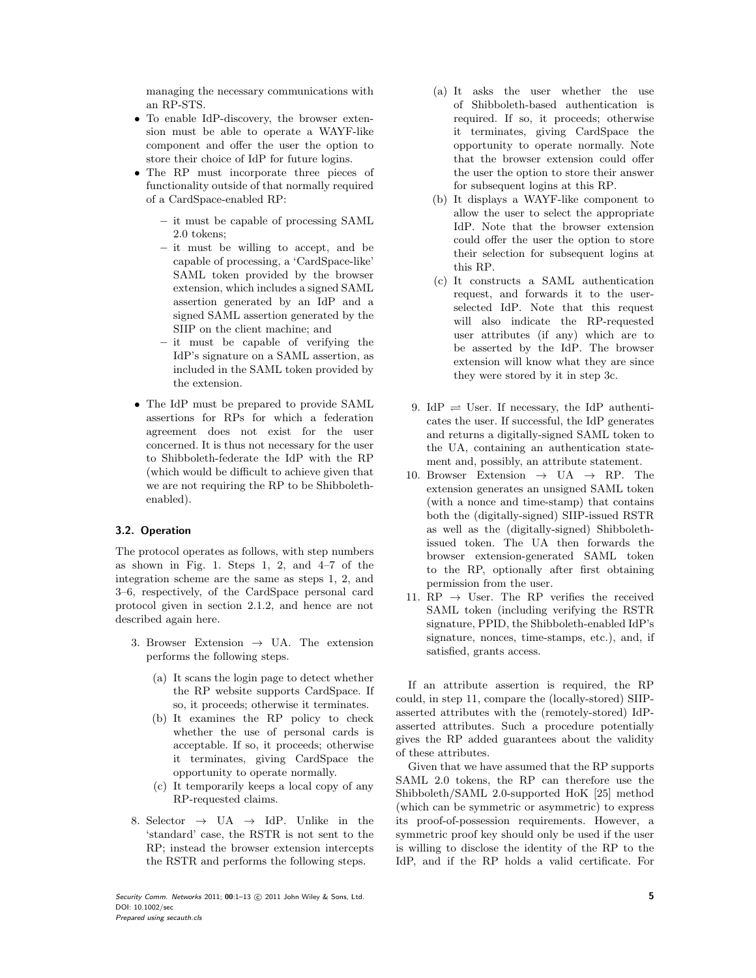managing the necessary communications with an RP-STS.

- To enable IdP-discovery, the browser extension must be able to operate a WAYF-like component and offer the user the option to store their choice of IdP for future logins.
- The RP must incorporate three pieces of functionality outside of that normally required of a CardSpace-enabled RP:
	- it must be capable of processing SAML 2.0 tokens;
	- it must be willing to accept, and be capable of processing, a 'CardSpace-like' SAML token provided by the browser extension, which includes a signed SAML assertion generated by an IdP and a signed SAML assertion generated by the SIIP on the client machine; and
	- it must be capable of verifying the IdP's signature on a SAML assertion, as included in the SAML token provided by the extension.
- The IdP must be prepared to provide SAML assertions for RPs for which a federation agreement does not exist for the user concerned. It is thus not necessary for the user to Shibboleth-federate the IdP with the RP (which would be difficult to achieve given that we are not requiring the RP to be Shibbolethenabled).

### 3.2. Operation

The protocol operates as follows, with step numbers as shown in Fig. 1. Steps 1, 2, and 4–7 of the integration scheme are the same as steps 1, 2, and 3–6, respectively, of the CardSpace personal card protocol given in section 2.1.2, and hence are not described again here.

- 3. Browser Extension  $\rightarrow$  UA. The extension performs the following steps.
	- (a) It scans the login page to detect whether the RP website supports CardSpace. If so, it proceeds; otherwise it terminates.
	- (b) It examines the RP policy to check whether the use of personal cards is acceptable. If so, it proceeds; otherwise it terminates, giving CardSpace the opportunity to operate normally.
	- (c) It temporarily keeps a local copy of any RP-requested claims.
- 8. Selector  $\rightarrow$  UA  $\rightarrow$  IdP. Unlike in the 'standard' case, the RSTR is not sent to the RP; instead the browser extension intercepts the RSTR and performs the following steps.
- (a) It asks the user whether the use of Shibboleth-based authentication is required. If so, it proceeds; otherwise it terminates, giving CardSpace the opportunity to operate normally. Note that the browser extension could offer the user the option to store their answer for subsequent logins at this RP.
- (b) It displays a WAYF-like component to allow the user to select the appropriate IdP. Note that the browser extension could offer the user the option to store their selection for subsequent logins at this RP.
- (c) It constructs a SAML authentication request, and forwards it to the userselected IdP. Note that this request will also indicate the RP-requested user attributes (if any) which are to be asserted by the IdP. The browser extension will know what they are since they were stored by it in step 3c.
- 9. IdP  $\rightleftharpoons$  User. If necessary, the IdP authenticates the user. If successful, the IdP generates and returns a digitally-signed SAML token to the UA, containing an authentication statement and, possibly, an attribute statement.
- 10. Browser Extension  $\rightarrow$  UA  $\rightarrow$  RP. The extension generates an unsigned SAML token (with a nonce and time-stamp) that contains both the (digitally-signed) SIIP-issued RSTR as well as the (digitally-signed) Shibbolethissued token. The UA then forwards the browser extension-generated SAML token to the RP, optionally after first obtaining permission from the user.
- 11.  $RP \rightarrow$  User. The RP verifies the received SAML token (including verifying the RSTR signature, PPID, the Shibboleth-enabled IdP's signature, nonces, time-stamps, etc.), and, if satisfied, grants access.

If an attribute assertion is required, the RP could, in step 11, compare the (locally-stored) SIIPasserted attributes with the (remotely-stored) IdPasserted attributes. Such a procedure potentially gives the RP added guarantees about the validity of these attributes.

Given that we have assumed that the RP supports SAML 2.0 tokens, the RP can therefore use the Shibboleth/SAML 2.0-supported HoK [25] method (which can be symmetric or asymmetric) to express its proof-of-possession requirements. However, a symmetric proof key should only be used if the user is willing to disclose the identity of the RP to the IdP, and if the RP holds a valid certificate. For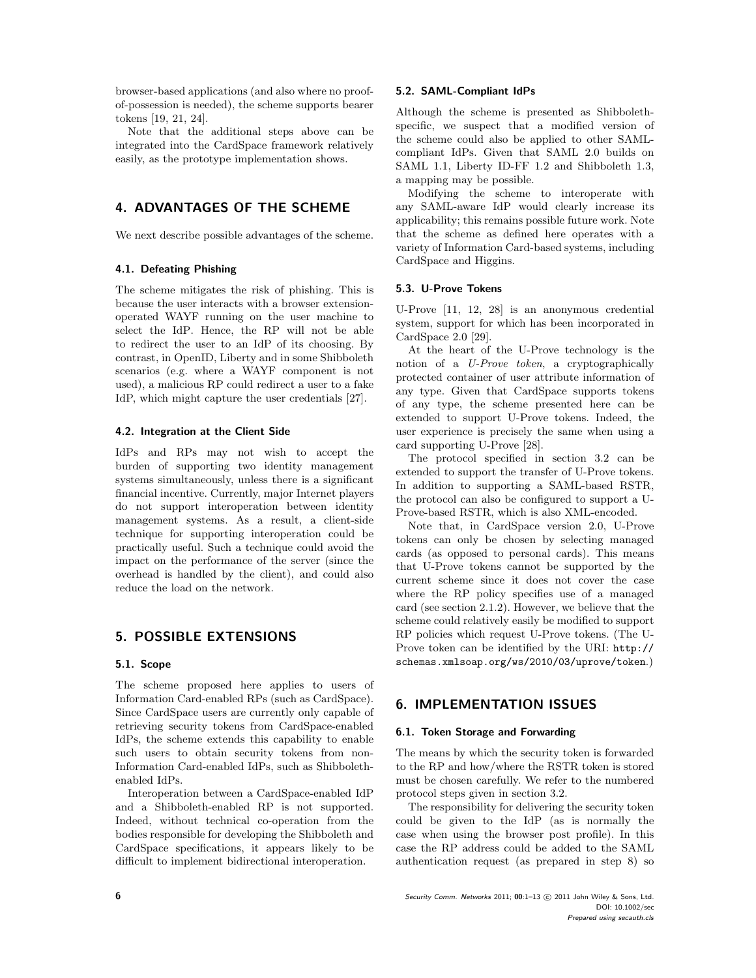browser-based applications (and also where no proofof-possession is needed), the scheme supports bearer tokens [19, 21, 24].

Note that the additional steps above can be integrated into the CardSpace framework relatively easily, as the prototype implementation shows.

# 4. ADVANTAGES OF THE SCHEME

We next describe possible advantages of the scheme.

#### 4.1. Defeating Phishing

The scheme mitigates the risk of phishing. This is because the user interacts with a browser extensionoperated WAYF running on the user machine to select the IdP. Hence, the RP will not be able to redirect the user to an IdP of its choosing. By contrast, in OpenID, Liberty and in some Shibboleth scenarios (e.g. where a WAYF component is not used), a malicious RP could redirect a user to a fake IdP, which might capture the user credentials [27].

#### 4.2. Integration at the Client Side

IdPs and RPs may not wish to accept the burden of supporting two identity management systems simultaneously, unless there is a significant financial incentive. Currently, major Internet players do not support interoperation between identity management systems. As a result, a client-side technique for supporting interoperation could be practically useful. Such a technique could avoid the impact on the performance of the server (since the overhead is handled by the client), and could also reduce the load on the network.

# 5. POSSIBLE EXTENSIONS

#### 5.1. Scope

The scheme proposed here applies to users of Information Card-enabled RPs (such as CardSpace). Since CardSpace users are currently only capable of retrieving security tokens from CardSpace-enabled IdPs, the scheme extends this capability to enable such users to obtain security tokens from non-Information Card-enabled IdPs, such as Shibbolethenabled IdPs.

Interoperation between a CardSpace-enabled IdP and a Shibboleth-enabled RP is not supported. Indeed, without technical co-operation from the bodies responsible for developing the Shibboleth and CardSpace specifications, it appears likely to be difficult to implement bidirectional interoperation.

#### 5.2. SAML-Compliant IdPs

Although the scheme is presented as Shibbolethspecific, we suspect that a modified version of the scheme could also be applied to other SAMLcompliant IdPs. Given that SAML 2.0 builds on SAML 1.1, Liberty ID-FF 1.2 and Shibboleth 1.3, a mapping may be possible.

Modifying the scheme to interoperate with any SAML-aware IdP would clearly increase its applicability; this remains possible future work. Note that the scheme as defined here operates with a variety of Information Card-based systems, including CardSpace and Higgins.

#### 5.3. U-Prove Tokens

U-Prove [11, 12, 28] is an anonymous credential system, support for which has been incorporated in CardSpace 2.0 [29].

At the heart of the U-Prove technology is the notion of a U-Prove token, a cryptographically protected container of user attribute information of any type. Given that CardSpace supports tokens of any type, the scheme presented here can be extended to support U-Prove tokens. Indeed, the user experience is precisely the same when using a card supporting U-Prove [28].

The protocol specified in section 3.2 can be extended to support the transfer of U-Prove tokens. In addition to supporting a SAML-based RSTR, the protocol can also be configured to support a U-Prove-based RSTR, which is also XML-encoded.

Note that, in CardSpace version 2.0, U-Prove tokens can only be chosen by selecting managed cards (as opposed to personal cards). This means that U-Prove tokens cannot be supported by the current scheme since it does not cover the case where the RP policy specifies use of a managed card (see section 2.1.2). However, we believe that the scheme could relatively easily be modified to support RP policies which request U-Prove tokens. (The U-Prove token can be identified by the URI: http:// schemas.xmlsoap.org/ws/2010/03/uprove/token.)

### 6. IMPLEMENTATION ISSUES

#### 6.1. Token Storage and Forwarding

The means by which the security token is forwarded to the RP and how/where the RSTR token is stored must be chosen carefully. We refer to the numbered protocol steps given in section 3.2.

The responsibility for delivering the security token could be given to the IdP (as is normally the case when using the browser post profile). In this case the RP address could be added to the SAML authentication request (as prepared in step 8) so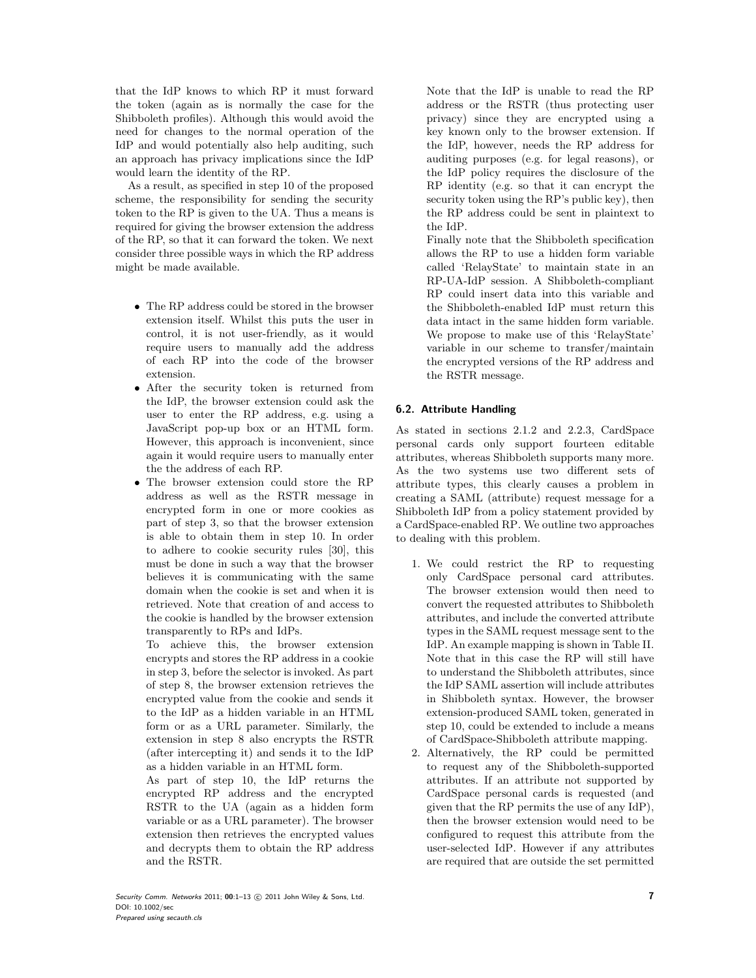that the IdP knows to which RP it must forward the token (again as is normally the case for the Shibboleth profiles). Although this would avoid the need for changes to the normal operation of the IdP and would potentially also help auditing, such an approach has privacy implications since the IdP would learn the identity of the RP.

As a result, as specified in step 10 of the proposed scheme, the responsibility for sending the security token to the RP is given to the UA. Thus a means is required for giving the browser extension the address of the RP, so that it can forward the token. We next consider three possible ways in which the RP address might be made available.

- The RP address could be stored in the browser extension itself. Whilst this puts the user in control, it is not user-friendly, as it would require users to manually add the address of each RP into the code of the browser extension.
- After the security token is returned from the IdP, the browser extension could ask the user to enter the RP address, e.g. using a JavaScript pop-up box or an HTML form. However, this approach is inconvenient, since again it would require users to manually enter the the address of each RP.
- The browser extension could store the RP address as well as the RSTR message in encrypted form in one or more cookies as part of step 3, so that the browser extension is able to obtain them in step 10. In order to adhere to cookie security rules [30], this must be done in such a way that the browser believes it is communicating with the same domain when the cookie is set and when it is retrieved. Note that creation of and access to the cookie is handled by the browser extension transparently to RPs and IdPs.

To achieve this, the browser extension encrypts and stores the RP address in a cookie in step 3, before the selector is invoked. As part of step 8, the browser extension retrieves the encrypted value from the cookie and sends it to the IdP as a hidden variable in an HTML form or as a URL parameter. Similarly, the extension in step 8 also encrypts the RSTR (after intercepting it) and sends it to the IdP as a hidden variable in an HTML form.

As part of step 10, the IdP returns the encrypted RP address and the encrypted RSTR to the UA (again as a hidden form variable or as a URL parameter). The browser extension then retrieves the encrypted values and decrypts them to obtain the RP address and the RSTR.

Note that the IdP is unable to read the RP address or the RSTR (thus protecting user privacy) since they are encrypted using a key known only to the browser extension. If the IdP, however, needs the RP address for auditing purposes (e.g. for legal reasons), or the IdP policy requires the disclosure of the RP identity (e.g. so that it can encrypt the security token using the RP's public key), then the RP address could be sent in plaintext to the IdP.

Finally note that the Shibboleth specification allows the RP to use a hidden form variable called 'RelayState' to maintain state in an RP-UA-IdP session. A Shibboleth-compliant RP could insert data into this variable and the Shibboleth-enabled IdP must return this data intact in the same hidden form variable. We propose to make use of this 'RelayState' variable in our scheme to transfer/maintain the encrypted versions of the RP address and the RSTR message.

#### 6.2. Attribute Handling

As stated in sections 2.1.2 and 2.2.3, CardSpace personal cards only support fourteen editable attributes, whereas Shibboleth supports many more. As the two systems use two different sets of attribute types, this clearly causes a problem in creating a SAML (attribute) request message for a Shibboleth IdP from a policy statement provided by a CardSpace-enabled RP. We outline two approaches to dealing with this problem.

- 1. We could restrict the RP to requesting only CardSpace personal card attributes. The browser extension would then need to convert the requested attributes to Shibboleth attributes, and include the converted attribute types in the SAML request message sent to the IdP. An example mapping is shown in Table II. Note that in this case the RP will still have to understand the Shibboleth attributes, since the IdP SAML assertion will include attributes in Shibboleth syntax. However, the browser extension-produced SAML token, generated in step 10, could be extended to include a means of CardSpace-Shibboleth attribute mapping.
- 2. Alternatively, the RP could be permitted to request any of the Shibboleth-supported attributes. If an attribute not supported by CardSpace personal cards is requested (and given that the RP permits the use of any IdP), then the browser extension would need to be configured to request this attribute from the user-selected IdP. However if any attributes are required that are outside the set permitted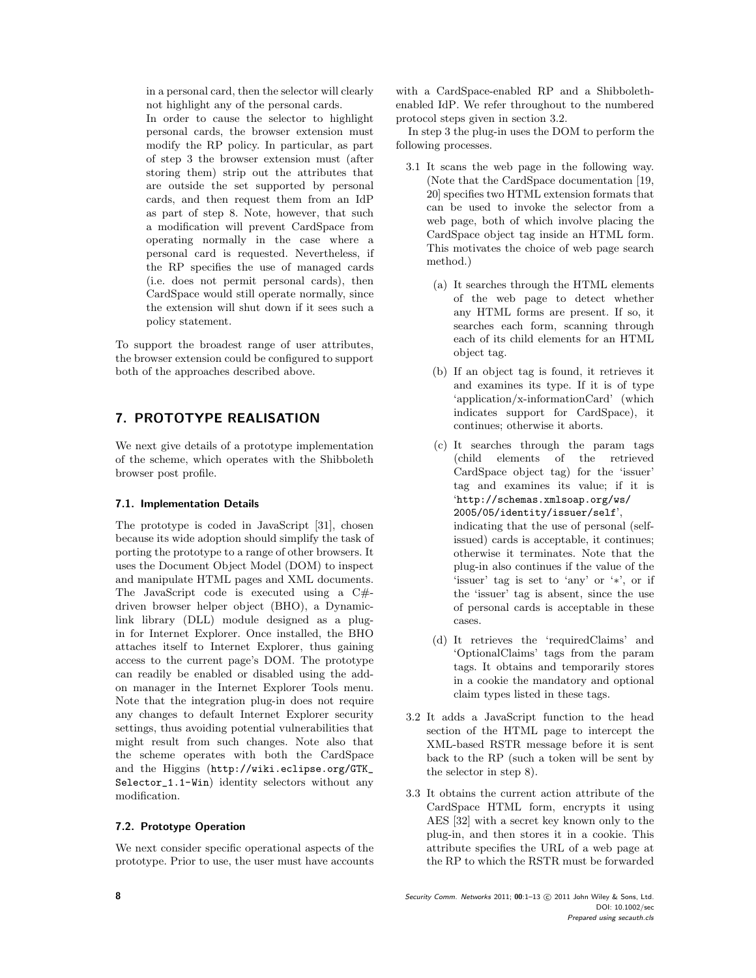in a personal card, then the selector will clearly not highlight any of the personal cards.

In order to cause the selector to highlight personal cards, the browser extension must modify the RP policy. In particular, as part of step 3 the browser extension must (after storing them) strip out the attributes that are outside the set supported by personal cards, and then request them from an IdP as part of step 8. Note, however, that such a modification will prevent CardSpace from operating normally in the case where a personal card is requested. Nevertheless, if the RP specifies the use of managed cards (i.e. does not permit personal cards), then CardSpace would still operate normally, since the extension will shut down if it sees such a policy statement.

To support the broadest range of user attributes, the browser extension could be configured to support both of the approaches described above.

# 7. PROTOTYPE REALISATION

We next give details of a prototype implementation of the scheme, which operates with the Shibboleth browser post profile.

### 7.1. Implementation Details

The prototype is coded in JavaScript [31], chosen because its wide adoption should simplify the task of porting the prototype to a range of other browsers. It uses the Document Object Model (DOM) to inspect and manipulate HTML pages and XML documents. The JavaScript code is executed using a C# driven browser helper object (BHO), a Dynamiclink library (DLL) module designed as a plugin for Internet Explorer. Once installed, the BHO attaches itself to Internet Explorer, thus gaining access to the current page's DOM. The prototype can readily be enabled or disabled using the addon manager in the Internet Explorer Tools menu. Note that the integration plug-in does not require any changes to default Internet Explorer security settings, thus avoiding potential vulnerabilities that might result from such changes. Note also that the scheme operates with both the CardSpace and the Higgins (http://wiki.eclipse.org/GTK\_ Selector\_1.1-Win) identity selectors without any modification.

# 7.2. Prototype Operation

We next consider specific operational aspects of the prototype. Prior to use, the user must have accounts with a CardSpace-enabled RP and a Shibbolethenabled IdP. We refer throughout to the numbered protocol steps given in section 3.2.

In step 3 the plug-in uses the DOM to perform the following processes.

- 3.1 It scans the web page in the following way. (Note that the CardSpace documentation [19, 20] specifies two HTML extension formats that can be used to invoke the selector from a web page, both of which involve placing the CardSpace object tag inside an HTML form. This motivates the choice of web page search method.)
	- (a) It searches through the HTML elements of the web page to detect whether any HTML forms are present. If so, it searches each form, scanning through each of its child elements for an HTML object tag.
	- (b) If an object tag is found, it retrieves it and examines its type. If it is of type 'application/x-informationCard' (which indicates support for CardSpace), it continues; otherwise it aborts.
	- (c) It searches through the param tags (child elements of the retrieved CardSpace object tag) for the 'issuer' tag and examines its value; if it is 'http://schemas.xmlsoap.org/ws/ 2005/05/identity/issuer/self', indicating that the use of personal (selfissued) cards is acceptable, it continues; otherwise it terminates. Note that the plug-in also continues if the value of the 'issuer' tag is set to 'any' or '∗', or if the 'issuer' tag is absent, since the use of personal cards is acceptable in these cases.
	- (d) It retrieves the 'requiredClaims' and 'OptionalClaims' tags from the param tags. It obtains and temporarily stores in a cookie the mandatory and optional claim types listed in these tags.
- 3.2 It adds a JavaScript function to the head section of the HTML page to intercept the XML-based RSTR message before it is sent back to the RP (such a token will be sent by the selector in step 8).
- 3.3 It obtains the current action attribute of the CardSpace HTML form, encrypts it using AES [32] with a secret key known only to the plug-in, and then stores it in a cookie. This attribute specifies the URL of a web page at the RP to which the RSTR must be forwarded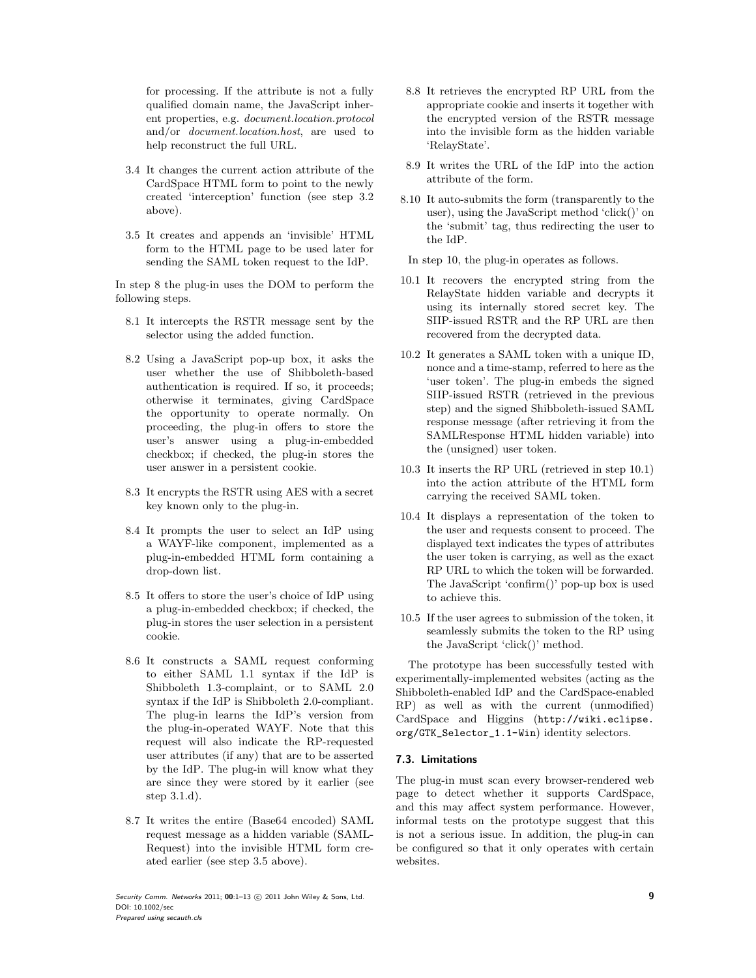for processing. If the attribute is not a fully qualified domain name, the JavaScript inherent properties, e.g. document.location.protocol and/or document.location.host, are used to help reconstruct the full URL.

- 3.4 It changes the current action attribute of the CardSpace HTML form to point to the newly created 'interception' function (see step 3.2 above).
- 3.5 It creates and appends an 'invisible' HTML form to the HTML page to be used later for sending the SAML token request to the IdP.

In step 8 the plug-in uses the DOM to perform the following steps.

- 8.1 It intercepts the RSTR message sent by the selector using the added function.
- 8.2 Using a JavaScript pop-up box, it asks the user whether the use of Shibboleth-based authentication is required. If so, it proceeds; otherwise it terminates, giving CardSpace the opportunity to operate normally. On proceeding, the plug-in offers to store the user's answer using a plug-in-embedded checkbox; if checked, the plug-in stores the user answer in a persistent cookie.
- 8.3 It encrypts the RSTR using AES with a secret key known only to the plug-in.
- 8.4 It prompts the user to select an IdP using a WAYF-like component, implemented as a plug-in-embedded HTML form containing a drop-down list.
- 8.5 It offers to store the user's choice of IdP using a plug-in-embedded checkbox; if checked, the plug-in stores the user selection in a persistent cookie.
- 8.6 It constructs a SAML request conforming to either SAML 1.1 syntax if the IdP is Shibboleth 1.3-complaint, or to SAML 2.0 syntax if the IdP is Shibboleth 2.0-compliant. The plug-in learns the IdP's version from the plug-in-operated WAYF. Note that this request will also indicate the RP-requested user attributes (if any) that are to be asserted by the IdP. The plug-in will know what they are since they were stored by it earlier (see step 3.1.d).
- 8.7 It writes the entire (Base64 encoded) SAML request message as a hidden variable (SAML-Request) into the invisible HTML form created earlier (see step 3.5 above).
- 8.8 It retrieves the encrypted RP URL from the appropriate cookie and inserts it together with the encrypted version of the RSTR message into the invisible form as the hidden variable 'RelayState'.
- 8.9 It writes the URL of the IdP into the action attribute of the form.
- 8.10 It auto-submits the form (transparently to the user), using the JavaScript method 'click()' on the 'submit' tag, thus redirecting the user to the IdP.

In step 10, the plug-in operates as follows.

- 10.1 It recovers the encrypted string from the RelayState hidden variable and decrypts it using its internally stored secret key. The SIIP-issued RSTR and the RP URL are then recovered from the decrypted data.
- 10.2 It generates a SAML token with a unique ID, nonce and a time-stamp, referred to here as the 'user token'. The plug-in embeds the signed SIIP-issued RSTR (retrieved in the previous step) and the signed Shibboleth-issued SAML response message (after retrieving it from the SAMLResponse HTML hidden variable) into the (unsigned) user token.
- 10.3 It inserts the RP URL (retrieved in step 10.1) into the action attribute of the HTML form carrying the received SAML token.
- 10.4 It displays a representation of the token to the user and requests consent to proceed. The displayed text indicates the types of attributes the user token is carrying, as well as the exact RP URL to which the token will be forwarded. The JavaScript 'confirm()' pop-up box is used to achieve this.
- 10.5 If the user agrees to submission of the token, it seamlessly submits the token to the RP using the JavaScript 'click()' method.

The prototype has been successfully tested with experimentally-implemented websites (acting as the Shibboleth-enabled IdP and the CardSpace-enabled RP) as well as with the current (unmodified) CardSpace and Higgins (http://wiki.eclipse. org/GTK\_Selector\_1.1-Win) identity selectors.

#### 7.3. Limitations

The plug-in must scan every browser-rendered web page to detect whether it supports CardSpace, and this may affect system performance. However, informal tests on the prototype suggest that this is not a serious issue. In addition, the plug-in can be configured so that it only operates with certain websites.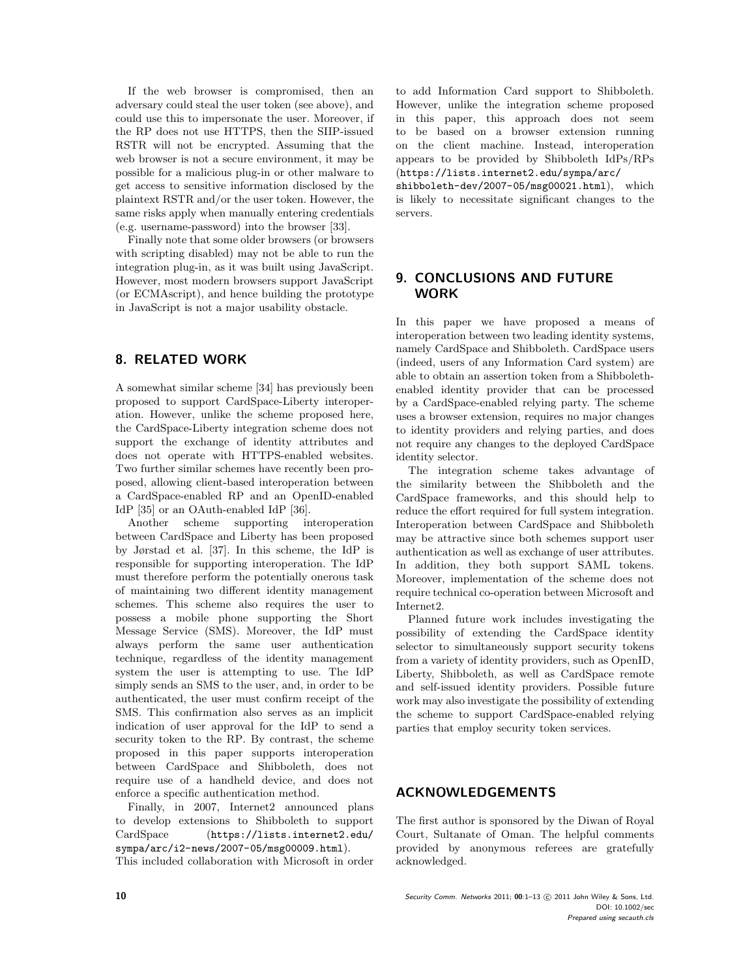If the web browser is compromised, then an adversary could steal the user token (see above), and could use this to impersonate the user. Moreover, if the RP does not use HTTPS, then the SIIP-issued RSTR will not be encrypted. Assuming that the web browser is not a secure environment, it may be possible for a malicious plug-in or other malware to get access to sensitive information disclosed by the plaintext RSTR and/or the user token. However, the same risks apply when manually entering credentials (e.g. username-password) into the browser [33].

Finally note that some older browsers (or browsers with scripting disabled) may not be able to run the integration plug-in, as it was built using JavaScript. However, most modern browsers support JavaScript (or ECMAscript), and hence building the prototype in JavaScript is not a major usability obstacle.

# 8. RELATED WORK

A somewhat similar scheme [34] has previously been proposed to support CardSpace-Liberty interoperation. However, unlike the scheme proposed here, the CardSpace-Liberty integration scheme does not support the exchange of identity attributes and does not operate with HTTPS-enabled websites. Two further similar schemes have recently been proposed, allowing client-based interoperation between a CardSpace-enabled RP and an OpenID-enabled IdP [35] or an OAuth-enabled IdP [36].

Another scheme supporting interoperation between CardSpace and Liberty has been proposed by Jørstad et al. [37]. In this scheme, the IdP is responsible for supporting interoperation. The IdP must therefore perform the potentially onerous task of maintaining two different identity management schemes. This scheme also requires the user to possess a mobile phone supporting the Short Message Service (SMS). Moreover, the IdP must always perform the same user authentication technique, regardless of the identity management system the user is attempting to use. The IdP simply sends an SMS to the user, and, in order to be authenticated, the user must confirm receipt of the SMS. This confirmation also serves as an implicit indication of user approval for the IdP to send a security token to the RP. By contrast, the scheme proposed in this paper supports interoperation between CardSpace and Shibboleth, does not require use of a handheld device, and does not enforce a specific authentication method.

Finally, in 2007, Internet2 announced plans to develop extensions to Shibboleth to support CardSpace (https://lists.internet2.edu/ sympa/arc/i2-news/2007-05/msg00009.html). This included collaboration with Microsoft in order to add Information Card support to Shibboleth. However, unlike the integration scheme proposed in this paper, this approach does not seem to be based on a browser extension running on the client machine. Instead, interoperation appears to be provided by Shibboleth IdPs/RPs (https://lists.internet2.edu/sympa/arc/ shibboleth-dev/2007-05/msg00021.html), which

is likely to necessitate significant changes to the servers.

# 9. CONCLUSIONS AND FUTURE WORK

In this paper we have proposed a means of interoperation between two leading identity systems, namely CardSpace and Shibboleth. CardSpace users (indeed, users of any Information Card system) are able to obtain an assertion token from a Shibbolethenabled identity provider that can be processed by a CardSpace-enabled relying party. The scheme uses a browser extension, requires no major changes to identity providers and relying parties, and does not require any changes to the deployed CardSpace identity selector.

The integration scheme takes advantage of the similarity between the Shibboleth and the CardSpace frameworks, and this should help to reduce the effort required for full system integration. Interoperation between CardSpace and Shibboleth may be attractive since both schemes support user authentication as well as exchange of user attributes. In addition, they both support SAML tokens. Moreover, implementation of the scheme does not require technical co-operation between Microsoft and Internet2.

Planned future work includes investigating the possibility of extending the CardSpace identity selector to simultaneously support security tokens from a variety of identity providers, such as OpenID, Liberty, Shibboleth, as well as CardSpace remote and self-issued identity providers. Possible future work may also investigate the possibility of extending the scheme to support CardSpace-enabled relying parties that employ security token services.

## ACKNOWLEDGEMENTS

The first author is sponsored by the Diwan of Royal Court, Sultanate of Oman. The helpful comments provided by anonymous referees are gratefully acknowledged.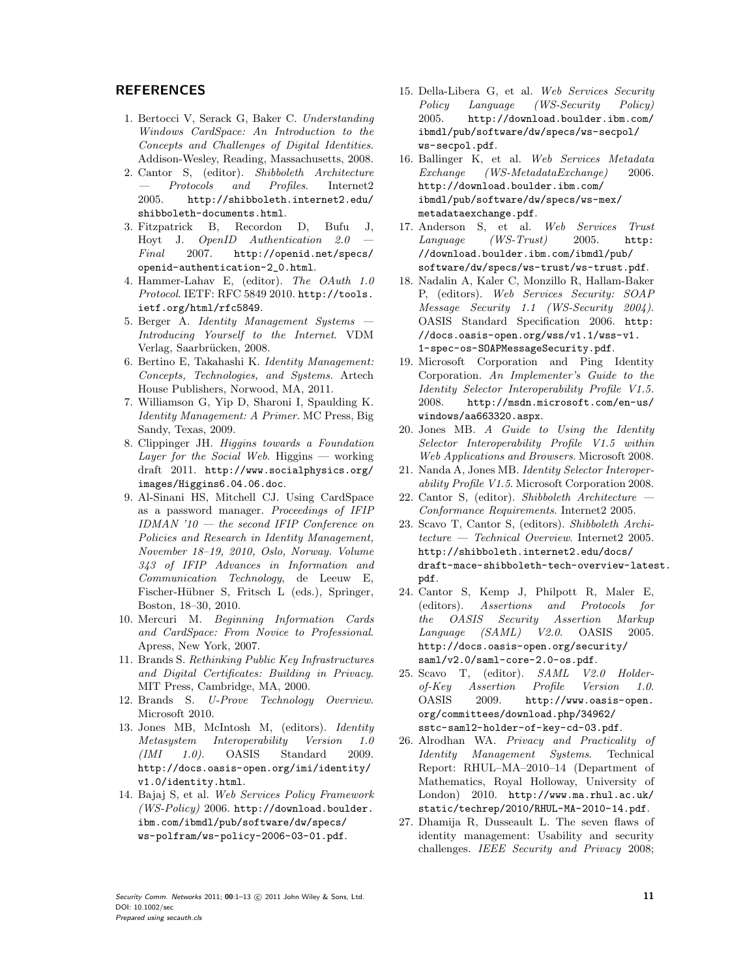# **REFERENCES**

- 1. Bertocci V, Serack G, Baker C. Understanding Windows CardSpace: An Introduction to the Concepts and Challenges of Digital Identities. Addison-Wesley, Reading, Massachusetts, 2008.
- 2. Cantor S, (editor). Shibboleth Architecture — Protocols and Profiles. Internet2 2005. http://shibboleth.internet2.edu/ shibboleth-documents.html.
- 3. Fitzpatrick B, Recordon D, Bufu J, Hoyt J. OpenID Authentication 2.0 — Final 2007. http://openid.net/specs/ openid-authentication-2\_0.html.
- 4. Hammer-Lahav E, (editor). The OAuth 1.0 Protocol. IETF: RFC 5849 2010. http://tools. ietf.org/html/rfc5849.
- 5. Berger A. Identity Management Systems Introducing Yourself to the Internet. VDM Verlag, Saarbrücken, 2008.
- 6. Bertino E, Takahashi K. Identity Management: Concepts, Technologies, and Systems. Artech House Publishers, Norwood, MA, 2011.
- 7. Williamson G, Yip D, Sharoni I, Spaulding K. Identity Management: A Primer. MC Press, Big Sandy, Texas, 2009.
- 8. Clippinger JH. Higgins towards a Foundation Layer for the Social Web. Higgins  $-$  working draft 2011. http://www.socialphysics.org/ images/Higgins6.04.06.doc.
- 9. Al-Sinani HS, Mitchell CJ. Using CardSpace as a password manager. Proceedings of IFIP  $IDMAN'10 - the second IFIP Conference on$ Policies and Research in Identity Management, November 18–19, 2010, Oslo, Norway. Volume 343 of IFIP Advances in Information and Communication Technology, de Leeuw E, Fischer-Hübner S, Fritsch L (eds.), Springer, Boston, 18–30, 2010.
- 10. Mercuri M. Beginning Information Cards and CardSpace: From Novice to Professional. Apress, New York, 2007.
- 11. Brands S. Rethinking Public Key Infrastructures and Digital Certificates: Building in Privacy. MIT Press, Cambridge, MA, 2000.
- 12. Brands S. U-Prove Technology Overview. Microsoft 2010.
- 13. Jones MB, McIntosh M, (editors). Identity Metasystem Interoperability Version 1.0 (IMI 1.0). OASIS Standard 2009. http://docs.oasis-open.org/imi/identity/ v1.0/identity.html.
- 14. Bajaj S, et al. Web Services Policy Framework (WS-Policy) 2006. http://download.boulder. ibm.com/ibmdl/pub/software/dw/specs/ ws-polfram/ws-policy-2006-03-01.pdf.
- 15. Della-Libera G, et al. Web Services Security Policy Language (WS-Security Policy) 2005. http://download.boulder.ibm.com/ ibmdl/pub/software/dw/specs/ws-secpol/ ws-secpol.pdf.
- 16. Ballinger K, et al. Web Services Metadata Exchange (WS-MetadataExchange) 2006. http://download.boulder.ibm.com/ ibmdl/pub/software/dw/specs/ws-mex/ metadataexchange.pdf.
- 17. Anderson S, et al. Web Services Trust Language (WS-Trust) 2005. http: //download.boulder.ibm.com/ibmdl/pub/ software/dw/specs/ws-trust/ws-trust.pdf.
- 18. Nadalin A, Kaler C, Monzillo R, Hallam-Baker P, (editors). Web Services Security: SOAP Message Security 1.1 (WS-Security 2004). OASIS Standard Specification 2006. http: //docs.oasis-open.org/wss/v1.1/wss-v1. 1-spec-os-SOAPMessageSecurity.pdf.
- 19. Microsoft Corporation and Ping Identity Corporation. An Implementer's Guide to the Identity Selector Interoperability Profile V1.5. 2008. http://msdn.microsoft.com/en-us/ windows/aa663320.aspx.
- 20. Jones MB. A Guide to Using the Identity Selector Interoperability Profile V1.5 within Web Applications and Browsers. Microsoft 2008.
- 21. Nanda A, Jones MB. Identity Selector Interoperability Profile V1.5. Microsoft Corporation 2008.
- 22. Cantor S, (editor). Shibboleth Architecture Conformance Requirements. Internet2 2005.
- 23. Scavo T, Cantor S, (editors). Shibboleth Architecture — Technical Overview. Internet2 2005. http://shibboleth.internet2.edu/docs/ draft-mace-shibboleth-tech-overview-latest. pdf.
- 24. Cantor S, Kemp J, Philpott R, Maler E, (editors). Assertions and Protocols for the OASIS Security Assertion Markup Language (SAML) V2.0. OASIS 2005. http://docs.oasis-open.org/security/ saml/v2.0/saml-core-2.0-os.pdf.
- 25. Scavo T, (editor). SAML V2.0 Holderof-Key Assertion Profile Version 1.0. OASIS 2009. http://www.oasis-open. org/committees/download.php/34962/ sstc-saml2-holder-of-key-cd-03.pdf.
- 26. Alrodhan WA. Privacy and Practicality of Identity Management Systems. Technical Report: RHUL–MA–2010–14 (Department of Mathematics, Royal Holloway, University of London) 2010. http://www.ma.rhul.ac.uk/ static/techrep/2010/RHUL-MA-2010-14.pdf.
- 27. Dhamija R, Dusseault L. The seven flaws of identity management: Usability and security challenges. IEEE Security and Privacy 2008;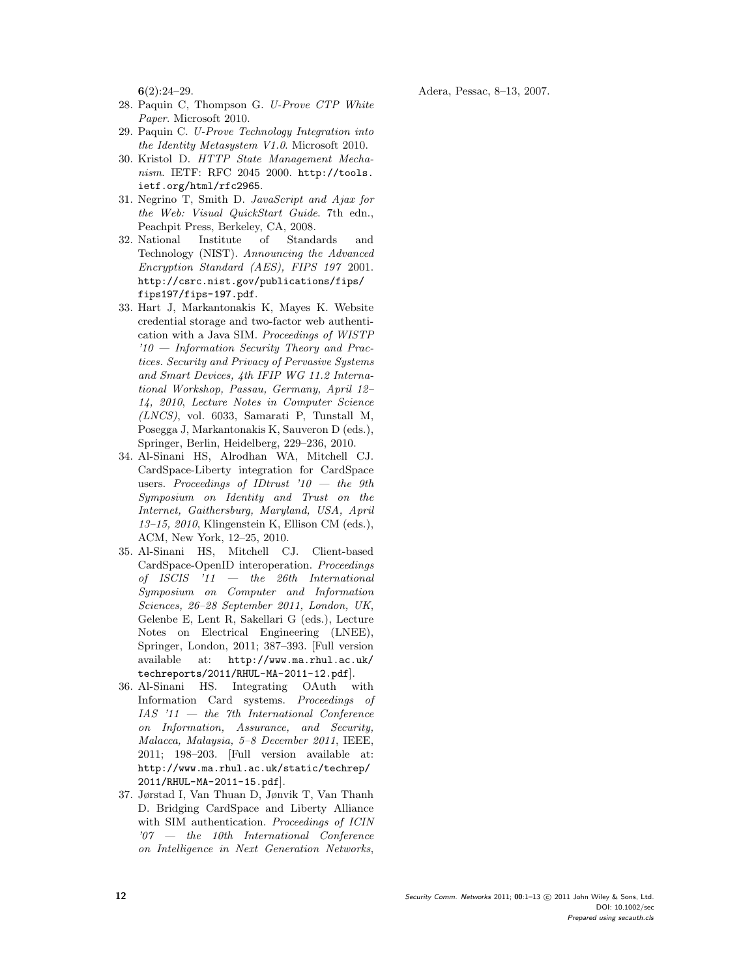Adera, Pessac, 8–13, 2007.

 $6(2):24-29.$ 

- 28. Paquin C, Thompson G. U-Prove CTP White Paper. Microsoft 2010.
- 29. Paquin C. U-Prove Technology Integration into the Identity Metasystem V1.0. Microsoft 2010.
- 30. Kristol D. HTTP State Management Mechanism. IETF: RFC 2045 2000. http://tools. ietf.org/html/rfc2965.
- 31. Negrino T, Smith D. JavaScript and Ajax for the Web: Visual QuickStart Guide. 7th edn., Peachpit Press, Berkeley, CA, 2008.
- 32. National Institute of Standards and Technology (NIST). Announcing the Advanced Encryption Standard (AES), FIPS 197 2001. http://csrc.nist.gov/publications/fips/ fips197/fips-197.pdf.
- 33. Hart J, Markantonakis K, Mayes K. Website credential storage and two-factor web authentication with a Java SIM. Proceedings of WISTP '10 — Information Security Theory and Practices. Security and Privacy of Pervasive Systems and Smart Devices, 4th IFIP WG 11.2 International Workshop, Passau, Germany, April 12– 14, 2010, Lecture Notes in Computer Science (LNCS), vol. 6033, Samarati P, Tunstall M, Posegga J, Markantonakis K, Sauveron D (eds.), Springer, Berlin, Heidelberg, 229–236, 2010.
- 34. Al-Sinani HS, Alrodhan WA, Mitchell CJ. CardSpace-Liberty integration for CardSpace users. Proceedings of IDtrust  $'10$  – the 9th Symposium on Identity and Trust on the Internet, Gaithersburg, Maryland, USA, April 13–15, 2010, Klingenstein K, Ellison CM (eds.), ACM, New York, 12–25, 2010.
- 35. Al-Sinani HS, Mitchell CJ. Client-based CardSpace-OpenID interoperation. Proceedings of ISCIS '11 — the 26th International Symposium on Computer and Information Sciences, 26–28 September 2011, London, UK, Gelenbe E, Lent R, Sakellari G (eds.), Lecture Notes on Electrical Engineering (LNEE), Springer, London, 2011; 387–393. [Full version available at: http://www.ma.rhul.ac.uk/ techreports/2011/RHUL-MA-2011-12.pdf].
- 36. Al-Sinani HS. Integrating OAuth with Information Card systems. Proceedings of  $IAS$  '11 — the 7th International Conference on Information, Assurance, and Security, Malacca, Malaysia, 5–8 December 2011, IEEE, 2011; 198–203. [Full version available at: http://www.ma.rhul.ac.uk/static/techrep/ 2011/RHUL-MA-2011-15.pdf].
- 37. Jørstad I, Van Thuan D, Jønvik T, Van Thanh D. Bridging CardSpace and Liberty Alliance with SIM authentication. Proceedings of ICIN '07 — the 10th International Conference on Intelligence in Next Generation Networks,